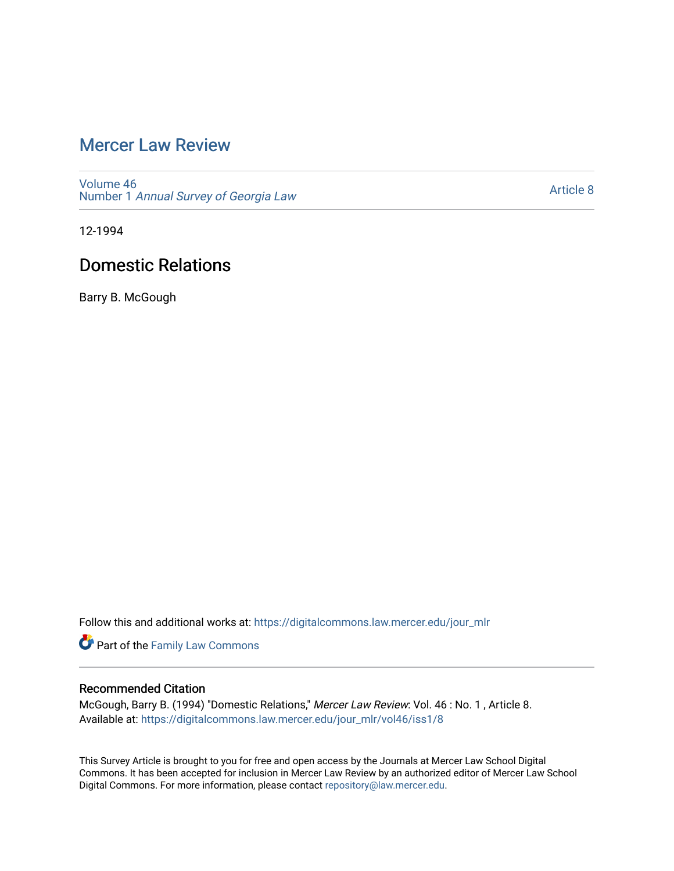# [Mercer Law Review](https://digitalcommons.law.mercer.edu/jour_mlr)

[Volume 46](https://digitalcommons.law.mercer.edu/jour_mlr/vol46) Number 1 [Annual Survey of Georgia Law](https://digitalcommons.law.mercer.edu/jour_mlr/vol46/iss1) 

[Article 8](https://digitalcommons.law.mercer.edu/jour_mlr/vol46/iss1/8) 

12-1994

# Domestic Relations

Barry B. McGough

Follow this and additional works at: [https://digitalcommons.law.mercer.edu/jour\\_mlr](https://digitalcommons.law.mercer.edu/jour_mlr?utm_source=digitalcommons.law.mercer.edu%2Fjour_mlr%2Fvol46%2Fiss1%2F8&utm_medium=PDF&utm_campaign=PDFCoverPages)

Part of the [Family Law Commons](http://network.bepress.com/hgg/discipline/602?utm_source=digitalcommons.law.mercer.edu%2Fjour_mlr%2Fvol46%2Fiss1%2F8&utm_medium=PDF&utm_campaign=PDFCoverPages) 

### Recommended Citation

McGough, Barry B. (1994) "Domestic Relations," Mercer Law Review: Vol. 46 : No. 1 , Article 8. Available at: [https://digitalcommons.law.mercer.edu/jour\\_mlr/vol46/iss1/8](https://digitalcommons.law.mercer.edu/jour_mlr/vol46/iss1/8?utm_source=digitalcommons.law.mercer.edu%2Fjour_mlr%2Fvol46%2Fiss1%2F8&utm_medium=PDF&utm_campaign=PDFCoverPages)

This Survey Article is brought to you for free and open access by the Journals at Mercer Law School Digital Commons. It has been accepted for inclusion in Mercer Law Review by an authorized editor of Mercer Law School Digital Commons. For more information, please contact [repository@law.mercer.edu](mailto:repository@law.mercer.edu).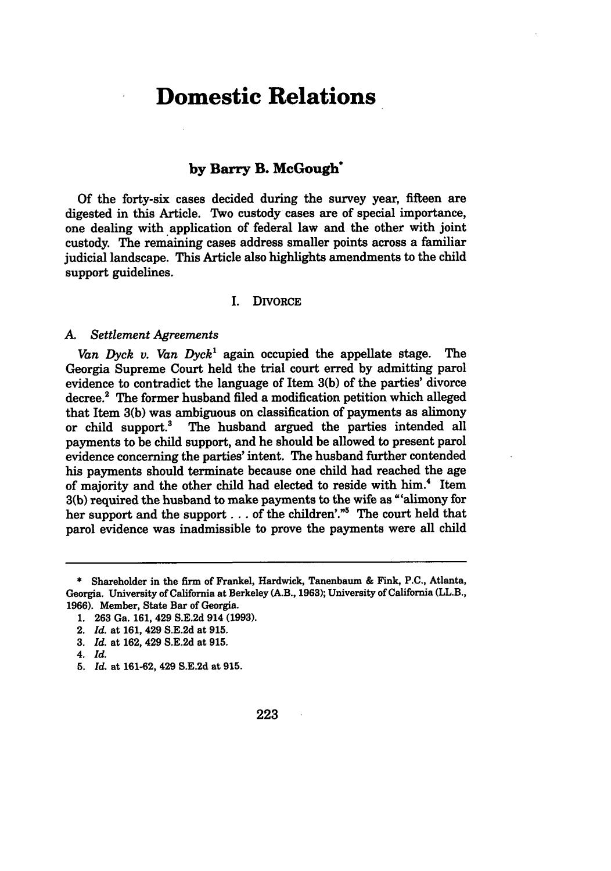# **Domestic Relations**

### **by Barry B. McGough"**

**Of** the forty-six cases decided during the survey year, fifteen are digested in this Article. Two custody cases are of special importance, one dealing with application of federal law and the other with joint custody. The remaining cases address smaller points across a familiar judicial landscape. This Article also highlights amendments to the child support guidelines.

#### I. DIVORCE

#### *A. Settlement Agreements*

*Van Dyck v. Van Dyck<sup>1</sup>*again occupied the appellate stage. The Georgia Supreme Court held the trial court erred by admitting parol evidence to contradict the language of Item 3(b) of the parties' divorce decree.' The former husband filed a modification petition which alleged that Item  $3(b)$  was ambiguous on classification of payments as alimony<br>or child support.<sup>3</sup> The husband argued the parties intended all The husband argued the parties intended all payments to be child support, and he should be allowed to present parol evidence concerning the parties' intent. The husband further contended his payments should terminate because one child had reached the age of majority and the other child had elected to reside with him.<sup>4</sup> Item 3(b) required the husband to make payments to the wife as "'alimony for her support and the support . . . of the children'."<sup>5</sup> The court held that parol evidence was inadmissible to prove the payments were all child

**<sup>\*</sup>** Shareholder in the firm of Frankel, Hardwick, Tanenbaum & Fink, **P.C.,** Atlanta, Georgia. University of California at Berkeley (A.B., **1963);** University of California (LL.B., **1966).** Member, State Bar of Georgia.

**<sup>1. 263</sup>** Ga. **161,** 429 **S.E.2d** 914 **(1993).**

<sup>2.</sup> *Id.* at **161,** 429 **S.E.2d** at **915.**

**<sup>3.</sup>** *Id.* at **162,** 429 **S.E.2d** at **915.**

*<sup>4.</sup> Id.*

**<sup>5.</sup>** *Id.* at **161-62,** 429 **S.E.2d** at **915.**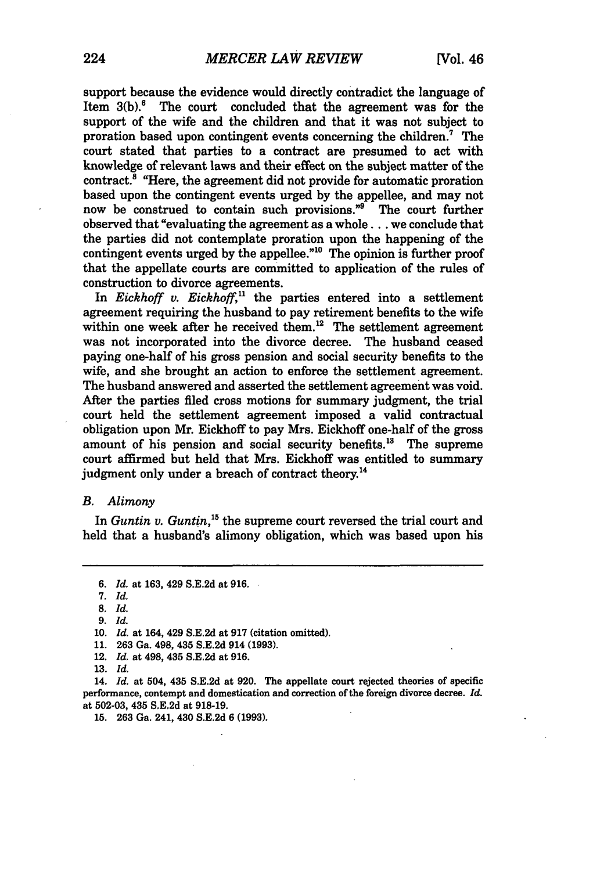support because the evidence would directly contradict the language of Item  $3(b)$ .<sup>6</sup> The court concluded that the agreement was for the support of the wife and the children and that it was not subject to proration based upon contingent events concerning the children.7 The court stated that parties to a contract are presumed to act with knowledge of relevant laws and their effect on the subject matter of the  $\arct{.}^8$  "Here, the agreement did not provide for automatic proration based upon the contingent events urged by the appellee, and may not now be construed to contain such provisions."9 The court further observed that "evaluating the agreement as a whole.., we conclude that the parties did not contemplate proration upon the happening of the contingent events urged by the appellee."<sup>10</sup> The opinion is further proof that the appellate courts are committed to application of the rules of construction to divorce agreements.

In *Eickhoff v. Eickhoff,"* the parties entered into a settlement agreement requiring the husband to pay retirement benefits to the wife within one week after he received them.<sup>12</sup> The settlement agreement was not incorporated into the divorce decree. The husband ceased paying one-half of his gross pension and social security benefits to the wife, and she brought an action to enforce the settlement agreement. The husband answered and asserted the settlement agreement was void. After the parties filed cross motions for summary judgment, the trial court held the settlement agreement imposed a valid contractual obligation upon Mr. Eickhoff to pay Mrs. Eickhoff one-half of the gross amount of his pension and social security benefits.'8 The supreme court affirmed but held that Mrs. Eickhoff was entitled to summary judgment only under a breach of contract theory.<sup>14</sup>

#### *B. Alimony*

In *Guntin v. Guntin,"5* the supreme court reversed the trial court and held that a husband's alimony obligation, which was based upon his

- **11.** 263 Ga. 498, 435 S.E.2d 914 **(1993).**
- 12. *Id.* at 498, 435 S.E.2d at 916.
- 13. *Id.*

14. *Id.* at 504, 435 S.E.2d at 920. The appellate court rejected theories of specific performance, contempt and domestication and correction of the foreign divorce decree. *Id.* at **502-03,** 435 **S.E.2d** at **918-19.**

**15. 263** Ga. 241, 430 **S.E.2d 6 (1993).**

*<sup>6.</sup> Id.* at 163, 429 S.E.2d at 916.

*<sup>7.</sup> Id.*

<sup>8.</sup> *Id.*

<sup>9.</sup> *Id.*

**<sup>10.</sup>** *Id.* at 164, 429 S.E.2d at **917** (citation omitted).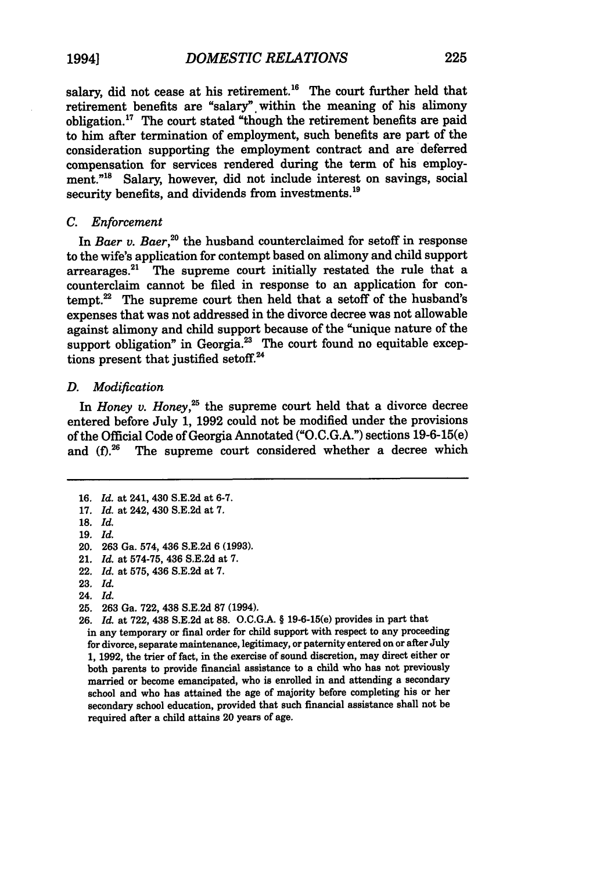salary, did not cease at his retirement.<sup>16</sup> The court further held that retirement benefits are "salary" within the meaning of his alimony obligation.17 The court stated "though the retirement benefits are paid to him after termination of employment, such benefits are part of the consideration supporting the employment contract and are deferred compensation for services rendered during the term of his employment."<sup>18</sup> Salary, however, did not include interest on savings, social security benefits, and dividends from investments.<sup>19</sup>

#### *C. Enforcement*

In *Baer v. Baer*,<sup>20</sup> the husband counterclaimed for setoff in response to the wife's application for contempt based on alimony and child support arrearages.<sup>21</sup> The supreme court initially restated the rule that a counterclaim cannot be filed in response to an application for contempt.22 The supreme court then held that a setoff of the husband's expenses that was not addressed in the divorce decree was not allowable against alimony and child support because of the "unique nature of the support obligation" in Georgia.<sup>23</sup> The court found no equitable exceptions present that justified setoff.<sup>24</sup>

#### *D. Modification*

In *Honey v. Honey*,<sup>25</sup> the supreme court held that a divorce decree entered before July **1, 1992** could not be modified under the provisions of the Official Code of Georgia Annotated **("O.C.G.A.")** sections 19-6-15(e) and  $(f)$ <sup>26</sup> The supreme court considered whether a decree which

- 19. *Id.* 20. 263 Ga. 574, 436 S.E.2d 6 (1993).
- 21. *Id.* at 574-75, 436 S.E.2d at **7.**
- 22. *Id.* at 575, 436 S.E.2d at 7.
- 23. *Id.*
- 24. *Id.*
- **25. 263** Ga. **722,** 438 **S.E.2d 87** (1994).
- 26. *Id.* at 722, 438 S.E.2d at **88. O.C.G.A.** § 19-6-15(e) provides in part that

**<sup>16.</sup>** *Id.* at 241, 430 S.E.2d at 6-7.

<sup>17.</sup> *Id.* at 242, 430 S.E.2d at 7.

**<sup>18.</sup>** *Id.*

in any temporary or final order for child support with respect to any proceeding for divorce, separate maintenance, legitimacy, or paternity entered on or after July 1, 1992, the trier of fact, in the exercise of sound discretion, may direct either or both parents to provide financial assistance to a child who has not previously married or become emancipated, who is enrolled in and attending a secondary school and who has attained the age of majority before completing his or her secondary school education, provided that such financial assistance shall not be required after a child attains 20 years of age.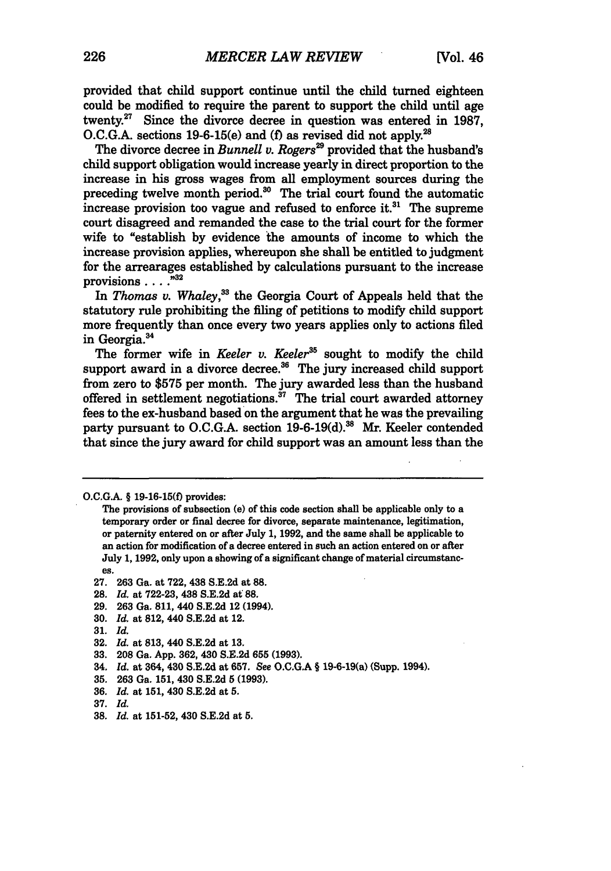provided that child support continue until the child turned eighteen could be modified to require the parent to support the child until age twenty.27 Since the divorce decree in question was entered in **1987, O.C.G.A.** sections 19-6-15(e) and **(f)** as revised did not apply.2

The divorce decree in *Bunnell v. Rogers*<sup>29</sup> provided that the husband's child support obligation would increase yearly in direct proportion to the increase in his gross wages from all employment sources during the preceding twelve month period.<sup>30</sup> The trial court found the automatic increase provision too vague and refused to enforce it. $31$  The supreme court disagreed and remanded the case to the trial court for the former wife to "establish by evidence the amounts of income to which the increase provision applies, whereupon she shall be entitled to judgment for the arrearages established **by** calculations pursuant to the increase provisions ....

In *Thomas v. Whaley*,<sup>33</sup> the Georgia Court of Appeals held that the statutory rule prohibiting the filing of petitions to modify child support more frequently than once every two years applies only to actions filed in Georgia.<sup>34</sup>

The former wife in *Keeler v. Keeler*<sup>35</sup> sought to modify the child support award in a divorce decree. $36$  The jury increased child support from zero to **\$575** per month. The jury awarded less than the husband offered in settlement negotiations.<sup> $37$ </sup> The trial court awarded attorney fees to the ex-husband based on the argument that he was the prevailing party pursuant to O.C.G.A. section 19-6-19(d).<sup>38</sup> Mr. Keeler contended that since the jury award for child support was an amount less than the

- **27. 263** Ga. at **722,** 438 **S.E.2d** at **88.**
- **28.** *Id.* at **722-23,** 438 **S.E,2d** at **88.**
- **29. 263** Ga. **811,** 440 **S.E.2d** 12 (1994).
- **30.** *Id.* at 812, 440 **S.E.2d** at 12.
- **31.** *Id.*
- **32.** *Id.* at **813,** 440 **S.E.2d** at **13.**
- **33. 208** Ga. **App. 362,** 430 **S.E.2d 655 (1993).**
- *34. Id.* at 364, 430 **S.E.2d** at **657.** See **O.C.G.A §** 19-6-19(a) (Supp. 1994).
- **35. 263** Ga. **151,** 430 **S.E.2d 5 (1993).**
- **36.** *Id.* at **151,** 430 **S.E.2d** at **5.**
- **37.** *Id.*
- **38.** *Id.* at **151-52,** 430 **S.E.2d** at **5.**

**O.C.GA.** § **19-16-15(f)** provides:

The provisions of subsection (e) of this code section shall be applicable only to a temporary order or final decree for divorce, separate maintenance, legitimation, or paternity entered on or after July **1, 1992,** and the same shall be applicable to an action for modification of a decree entered in such an action entered on or after July **1, 1992,** only upon a showing of a significant change of material circumstances.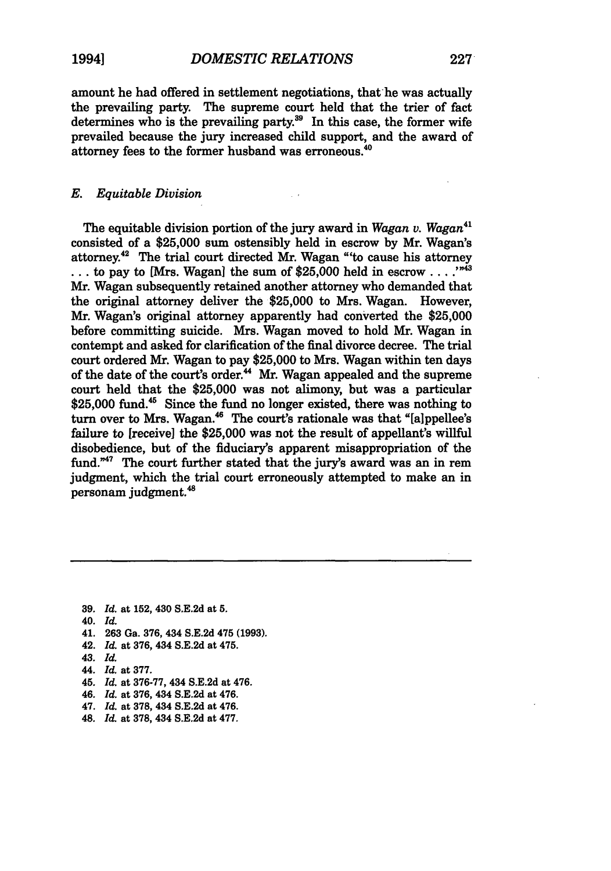amount he had offered in settlement negotiations, that he was actually the prevailing party. The supreme court held that the trier of fact determines who is the prevailing party.<sup>39</sup> In this case, the former wife prevailed because the jury increased child support, and the award of attorney fees to the former husband was erroneous.<sup>40</sup>

### *E. Equitable Division*

The equitable division portion of the jury award in *Wagan v. Wagan<sup>41</sup>* consisted of a **\$25,000** sum ostensibly held in escrow **by** Mr. Wagan's attorney.42 The trial court directed Mr. Wagan "'to cause his attorney  $\dots$  to pay to [Mrs. Wagan] the sum of \$25,000 held in escrow  $\dots$ <sup>343</sup> Mr. Wagan subsequently retained another attorney who demanded that the original attorney deliver the **\$25,000** to Mrs. Wagan. However, Mr. Wagan's original attorney apparently had converted the **\$25,000** before committing suicide. Mrs. Wagan moved to hold Mr. Wagan in contempt and asked for clarification of the final divorce decree. The trial court ordered Mr. Wagan to pay **\$25,000** to Mrs. Wagan within ten days of the date of the court's order.<sup>44</sup> Mr. Wagan appealed and the supreme court held that the **\$25,000** was not alimony, but was a particular **\$25,000** fund.45 Since the fund no longer existed, there was nothing to turn over to Mrs. Wagan.<sup>46</sup> The court's rationale was that "[a]ppellee's failure to [receive] the **\$25,000** was not the result of appellant's willful disobedience, but of the fiduciary's apparent misappropriation of the fund."<sup>47</sup> The court further stated that the jury's award was an in rem judgment, which the trial court erroneously attempted to make an in personam judgment.'

- **39.** *Id.* at **152, 430 S.E.2d** at **5.** 40. *Id.* 41. **263** Ga. 376, 434 S.E.2d 475 (1993). 42. *Id.* at 376, 434 S.E.2d at 475. *43. Id.* 44. *Id.* at 377. 45. *Id.* at 376-77, 434 S.E.2d at 476.
- 46. *Id.* at 376, 434 S.E.2d at 476.
- 47. *Id.* at 378, 434 S.E.2d at 476.
- 48. *Id.* at 378, 434 S.E.2d at 477.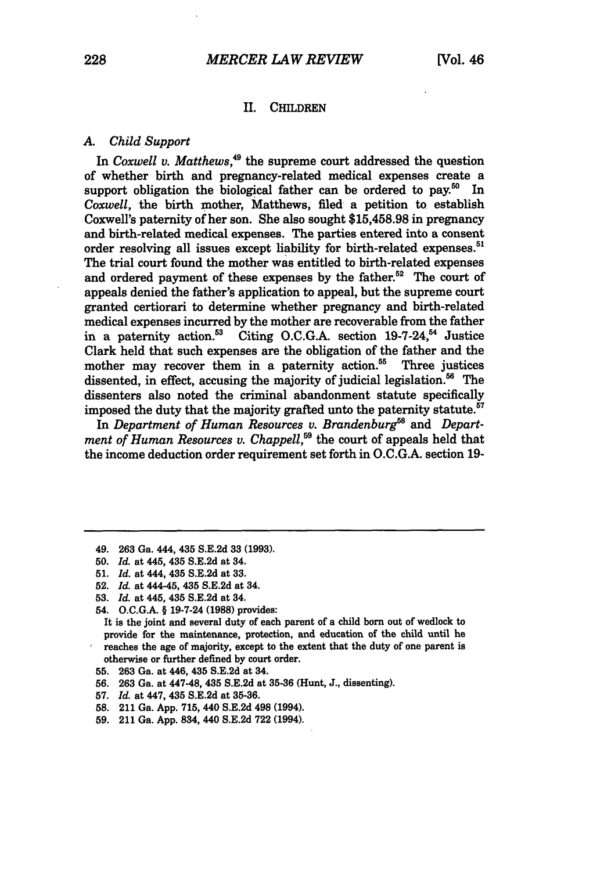#### **II.** CHILDREN

#### *A. Child Support*

In *Coxwell v. Matthews,49* the supreme court addressed the question of whether birth and pregnancy-related medical expenses create a support obligation the biological father can be ordered to pay.<sup>50</sup> In *Coxwell,* the birth mother, Matthews, filed a petition to establish Coxwell's paternity of her son. She also sought \$15,458.98 in pregnancy and birth-related medical expenses. The parties entered into a consent order resolving all issues except liability for birth-related expenses.<sup>51</sup> The trial court found the mother was entitled to birth-related expenses and ordered payment of these expenses by the father.<sup>52</sup> The court of appeals denied the father's application to appeal, but the supreme court granted certiorari to determine whether pregnancy and birth-related medical expenses incurred **by** the mother are recoverable from the father in a paternity action.<sup>53</sup> Citing O.C.G.A. section 19-7-24,<sup>54</sup> Justice Clark held that such expenses are the obligation of the father and the mother may recover them in a paternity action. $55$  Three justices dissented, in effect, accusing the majority of judicial legislation.<sup>56</sup> The dissenters also noted the criminal abandonment statute specifically imposed the duty that the majority grafted unto the paternity statute.<sup>57</sup>

In *Department of Human Resources v. Brandenburg*<sup>58</sup> and *Department of Human Resources v. Chappell*,<sup>59</sup> the court of appeals held that the income deduction order requirement set forth in O.C.G.A. section 19-

**52.** *Id.* at 444-45, 435 **S.E.2d** at 34.

- 55. **263** Ga. at 446, 435 **S.E.2d** at 34.
- **56.** 263 Ga. at 447-48, 435 S.E.2d at **35-36** (Hunt, **J.,** dissenting).
- **57.** *Id.* at 447, 435 S.E.2d at 35-36.
- **58.** 211 Ga. **App.** 715, 440 **S.E.2d** 498 (1994).
- **59.** 211 Ga. App. 834, 440 S.E.2d **722** (1994).

<sup>49.</sup> **263 Ga.** 444, 435 **S.E.2d 33 (1993).**

**<sup>50.</sup>** *Id.* at 445, 435 **S.E.2d** at 34.

**<sup>51.</sup>** *Id.* at **444,** 435 **S.E.2d** at **33.**

**<sup>53.</sup>** *Id.* at 445, 435 **S.E.2d** at 34.

<sup>54.</sup> **O.C.G.A.** § 19-7-24 **(1988)** provides:

It is the joint and several duty of each parent of a child born out of wedlock to provide for the maintenance, protection, and education of the child until he reaches the age of majority, except to the extent that the duty of one parent is otherwise or further defined by court order.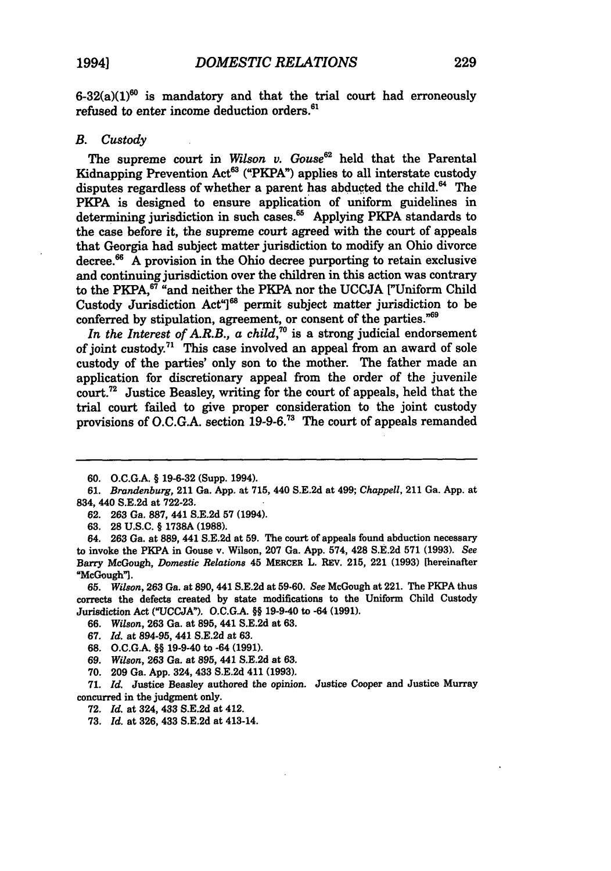$6-32(a)(1)^{60}$  is mandatory and that the trial court had erroneously refused to enter income deduction orders.<sup>61</sup>

#### *B. Custody*

The supreme court in *Wilson v. Gouse62* held that the Parental Kidnapping Prevention Act<sup>63</sup> ("PKPA") applies to all interstate custody disputes regardless of whether a parent has abducted the child. $64$  The PKPA is designed to ensure application of uniform guidelines in determining jurisdiction in such cases.<sup>65</sup> Applying PKPA standards to the case before it, the supreme court agreed with the court of appeals that Georgia had subject matter jurisdiction to modify an Ohio divorce decree.6 **A** provision in the Ohio decree purporting to retain exclusive and continuing jurisdiction over the children in this action was contrary to the PKPA,<sup>87</sup> "and neither the PKPA nor the UCCJA <sup>["Uniform Child"]</sup> Custody Jurisdiction Act<sup>"</sup>[<sup>68</sup> permit subject matter jurisdiction to be conferred **by** stipulation, agreement, or consent of the parties."'

*In the Interest of A.R.B., a child*,<sup>70</sup> is a strong judicial endorsement of joint custody.<sup>71</sup> This case involved an appeal from an award of sole custody of the parties' only son to the mother. The father made an application for discretionary appeal from the order of the juvenile court.72 Justice Beasley, writing for the court of appeals, held that the trial court failed to give proper consideration to the joint custody provisions of **O.C.G.A.** section **19-9-6."3** The court of appeals remanded

*72. Id.* at 324, 433 **S.E.2d** at 412.

**73.** *Id.* at **326,** 433 **S.E.2d** at 413-14.

**<sup>60.</sup> O.C.G.A. § 19-6-32** (Supp. 1994).

*<sup>61.</sup> Brandenburg,* 211 Ga. **App.** at **715,** 440 **S.E.2d** at 499; *Chappell,* 211 Ga. **App.** at 834, 440 **S.E.2d** at **722-23.**

**<sup>62. 263</sup>** Ga. **887,** 441 **S.E.2d 57** (1994).

**<sup>63. 28</sup> U.S.C. § 1738A (1988).**

<sup>64.</sup> **263** Ga. at **889,** 441 **S.E.2d** at **59.** The court of appeals found abduction necessary to invoke the PKPA in Gouse **v.** Wilson, **207** Ga. **App.** 574, 428 **S.E.2d 571 (1993).** *See* Barry McGough, *Domestic Relations* 45 MERCER L. REV. **215,** 221 **(1993)** [hereinafter "McGough"].

**<sup>65.</sup>** *Wilson,* **263** Ga. at **890,** 441 **S.E.2d** at **59-60.** *See* McGough at 221. The PKPA thus corrects the defects created **by** state modifications to the Uniform Child Custody Jurisdiction Act **("UCCJA). O.C.G.A. §§** 19-9-40 to -64 **(1991).**

**<sup>66.</sup>** *Wilson,* **263** Ga. at **895,** 441 **S.E.2d** at **63.**

**<sup>67.</sup>** *Id.* at **894-95,** 441 **S.E.2d** at **63.**

**<sup>68.</sup> O.C.G.A.** §§ 19-9-40 to -64 **(1991).**

**<sup>69.</sup>** *Wilson,* **263** Ga. at **895,** 441 **S.E.2d** at **63.**

**<sup>70. 209</sup>** Ga. **App.** 324, 433 **S.E.2d** 411 **(1993).**

**<sup>71.</sup>** *Id.* Justice Beasley authored the opinion. Justice Cooper and Justice Murray concurred in the judgment only.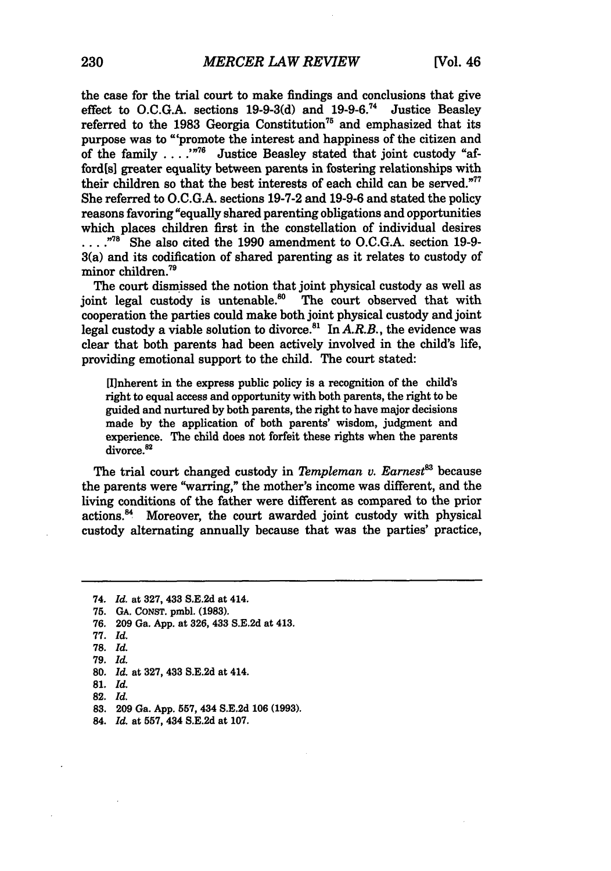the case for the trial court to make findings and conclusions that give effect to **O.C.G.A.** sections **19-9-3(d)** and **19-9-6. <sup>74</sup>**Justice Beasley referred to the 1983 Georgia Constitution<sup>75</sup> and emphasized that its purpose was to "'promote the interest and happiness of the citizen and of the family . . . .<sup>"76</sup> Justice Beasley stated that joint custody "afford[s] greater equality between parents in fostering relationships with their children so that the best interests of each child can be served."<sup>77</sup> She referred to O.C.G.A. sections 19-7-2 and 19-9-6 and stated the policy reasons favoring "equally shared parenting obligations and opportunities which places children first in the constellation of individual desires ... .<sup>78</sup> She also cited the 1990 amendment to O.C.G.A. section 19-9-3(a) and its codification of shared parenting as it relates to custody of minor children.<sup>79</sup>

The court dismissed the notion that joint physical custody as well as joint legal custody is untenable. $^{80}$  The court observed that with cooperation the parties could make both joint physical custody and joint legal custody a viable solution to divorce.<sup>81</sup> In *A.R.B.*, the evidence was clear that both parents had been actively involved in the child's life, providing emotional support to the child. The court stated:

[W1nherent in the express public policy is a recognition of the child's right to equal access and opportunity with both parents, the right to be guided and nurtured by both parents, the right to have major decisions made by the application of both parents' wisdom, judgment and experience. The child does not forfeit these rights when the parents divorce.<sup>82</sup>

The trial court changed custody in *Templeman v. Earnest*<sup>83</sup> because the parents were "warring," the mother's income was different, and the living conditions of the father were different as compared to the prior actions." Moreover, the court awarded joint custody with physical custody alternating annually because that was the parties' practice,

<sup>74.</sup> *Id.* at **327,** 433 **S.E.2d** at 414.

**<sup>75.</sup> GA.** CoNsT. pmbl. **(1983).**

**<sup>76. 209</sup>** Ga. **App.** at **326,** 433 **S.E.2d** at 413.

**<sup>77.</sup>** *Id.*

**<sup>78.</sup>** *Id.*

**<sup>79.</sup>** *Id.*

**<sup>80.</sup>** *Id.* at **327,** 433 **S.E.2d** at 414.

**<sup>81.</sup>** *Id.*

**<sup>82.</sup>** *Id.*

**<sup>83. 209</sup>** Ga. **App. 557,** 434 **S.E.2d 106 (1993).**

<sup>84.</sup> *Id.* at **557,** 434 **S.E.2d** at **107.**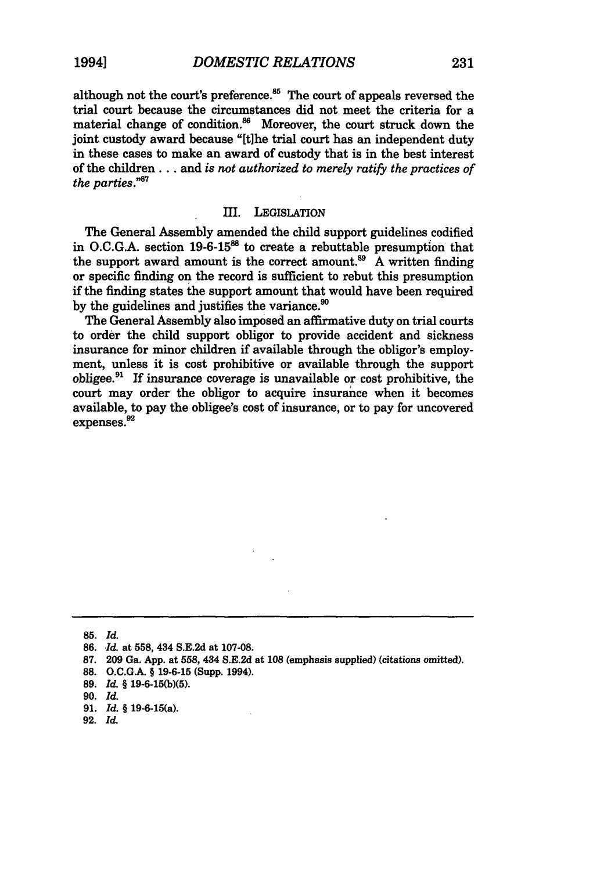although not the court's preference.<sup>85</sup> The court of appeals reversed the trial court because the circumstances did not meet the criteria for a material change of condition.<sup>86</sup> Moreover, the court struck down the joint custody award because "[tihe trial court has an independent duty in these cases to make an award of custody that is in the best interest of the children **...** and *is not authorized to merely ratify the practices of the parties."87*

#### III. LEGISLATION

The General Assembly amended the child support guidelines codified in **O.C.G.A.** section **19-6-1588** to create a rebuttable presumption that the support award amount is the correct amount.<sup>89</sup> A written finding or specific finding on the record is sufficient to rebut this presumption if the finding states the support amount that would have been required by the guidelines and justifies the variance.<sup>90</sup>

The General Assembly also imposed an affimative duty on trial courts to order the child support obligor to provide accident and sickness insurance for minor children if available through the obligor's employment, unless it is cost prohibitive or available through the support obligee.9 **If** insurance coverage is unavailable or cost prohibitive, the court may order the obligor to acquire insurance when it becomes available, to pay the obligee's cost of insurance, or to pay for uncovered expenses.<sup>92</sup>

**85.** *Id.*

- **87. 209** Ga. **App.** at **558,** 434 **S.E.2d** at **108** (emphasis supplied) (citations omitted).
- **88. O.C.GA. § 19-6-15** (Supp. 1994).

**92.** *Id.*

**<sup>86.</sup>** *Id.* at **558,** 434 **S.E.2d** at **107-08.**

**<sup>89.</sup>** *Id.* **§ 19-6-15(b)(5).**

**<sup>90.</sup>** *Id.*

**<sup>91.</sup>** *Id. §* 19-6-15(a).